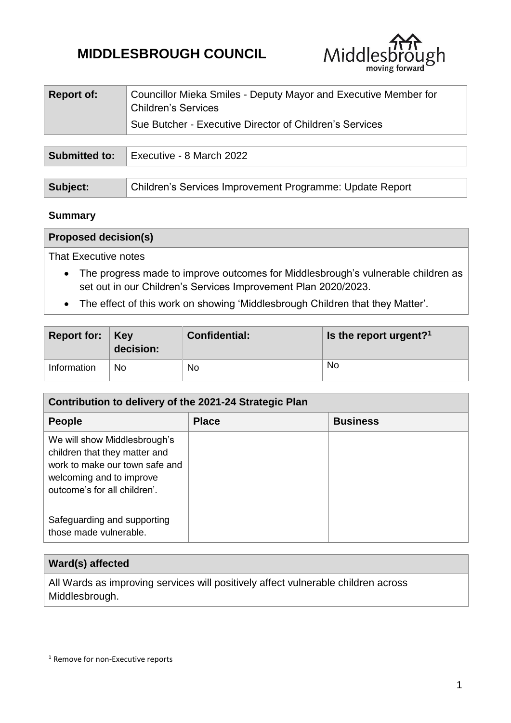# **MIDDLESBROUGH COUNCIL**



| <b>Report of:</b> | Councillor Mieka Smiles - Deputy Mayor and Executive Member for<br><sup>1</sup> Children's Services |
|-------------------|-----------------------------------------------------------------------------------------------------|
|                   | Sue Butcher - Executive Director of Children's Services                                             |
|                   |                                                                                                     |

| <b>Submitted to:</b> | Executive - 8 March 2022                                 |  |
|----------------------|----------------------------------------------------------|--|
|                      |                                                          |  |
| Subject:             | Children's Services Improvement Programme: Update Report |  |

## **Summary**

| <b>Proposed decision(s)</b> |  |  |
|-----------------------------|--|--|
|                             |  |  |

That Executive notes

- The progress made to improve outcomes for Middlesbrough's vulnerable children as set out in our Children's Services Improvement Plan 2020/2023.
- The effect of this work on showing 'Middlesbrough Children that they Matter'.

| Report for: $Key$ | decision: | <b>Confidential:</b> | Is the report urgent? <sup>1</sup> |
|-------------------|-----------|----------------------|------------------------------------|
| Information       | No        | No                   | <b>No</b>                          |

| Contribution to delivery of the 2021-24 Strategic Plan                                                                                                      |              |                 |  |  |
|-------------------------------------------------------------------------------------------------------------------------------------------------------------|--------------|-----------------|--|--|
| <b>People</b>                                                                                                                                               | <b>Place</b> | <b>Business</b> |  |  |
| We will show Middlesbrough's<br>children that they matter and<br>work to make our town safe and<br>welcoming and to improve<br>outcome's for all children'. |              |                 |  |  |
| Safeguarding and supporting<br>those made vulnerable.                                                                                                       |              |                 |  |  |

## **Ward(s) affected**

1

All Wards as improving services will positively affect vulnerable children across Middlesbrough.

<sup>&</sup>lt;sup>1</sup> Remove for non-Executive reports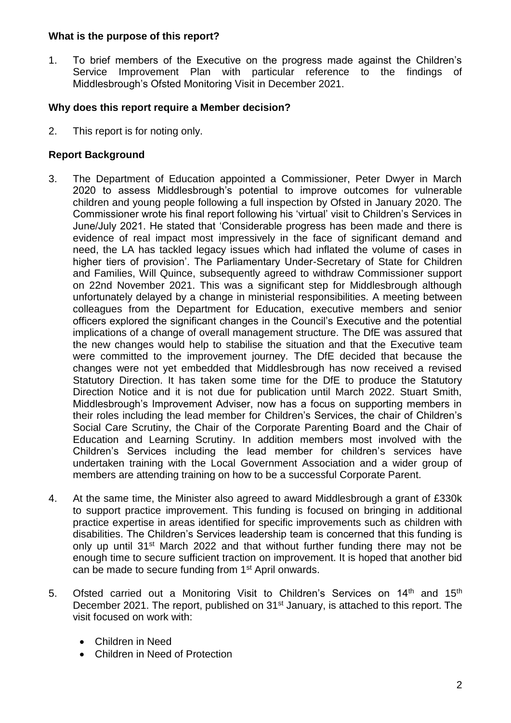## **What is the purpose of this report?**

1. To brief members of the Executive on the progress made against the Children's Service Improvement Plan with particular reference to the findings of Middlesbrough's Ofsted Monitoring Visit in December 2021.

# **Why does this report require a Member decision?**

2. This report is for noting only.

## **Report Background**

- 3. The Department of Education appointed a Commissioner, Peter Dwyer in March 2020 to assess Middlesbrough's potential to improve outcomes for vulnerable children and young people following a full inspection by Ofsted in January 2020. The Commissioner wrote his final report following his 'virtual' visit to Children's Services in June/July 2021. He stated that 'Considerable progress has been made and there is evidence of real impact most impressively in the face of significant demand and need, the LA has tackled legacy issues which had inflated the volume of cases in higher tiers of provision'. The Parliamentary Under-Secretary of State for Children and Families, Will Quince, subsequently agreed to withdraw Commissioner support on 22nd November 2021. This was a significant step for Middlesbrough although unfortunately delayed by a change in ministerial responsibilities. A meeting between colleagues from the Department for Education, executive members and senior officers explored the significant changes in the Council's Executive and the potential implications of a change of overall management structure. The DfE was assured that the new changes would help to stabilise the situation and that the Executive team were committed to the improvement journey. The DfE decided that because the changes were not yet embedded that Middlesbrough has now received a revised Statutory Direction. It has taken some time for the DfE to produce the Statutory Direction Notice and it is not due for publication until March 2022. Stuart Smith, Middlesbrough's Improvement Adviser, now has a focus on supporting members in their roles including the lead member for Children's Services, the chair of Children's Social Care Scrutiny, the Chair of the Corporate Parenting Board and the Chair of Education and Learning Scrutiny. In addition members most involved with the Children's Services including the lead member for children's services have undertaken training with the Local Government Association and a wider group of members are attending training on how to be a successful Corporate Parent.
- 4. At the same time, the Minister also agreed to award Middlesbrough a grant of £330k to support practice improvement. This funding is focused on bringing in additional practice expertise in areas identified for specific improvements such as children with disabilities. The Children's Services leadership team is concerned that this funding is only up until 31<sup>st</sup> March 2022 and that without further funding there may not be enough time to secure sufficient traction on improvement. It is hoped that another bid can be made to secure funding from 1st April onwards.
- 5. Ofsted carried out a Monitoring Visit to Children's Services on 14<sup>th</sup> and 15<sup>th</sup> December 2021. The report, published on 31<sup>st</sup> January, is attached to this report. The visit focused on work with:
	- Children in Need
	- Children in Need of Protection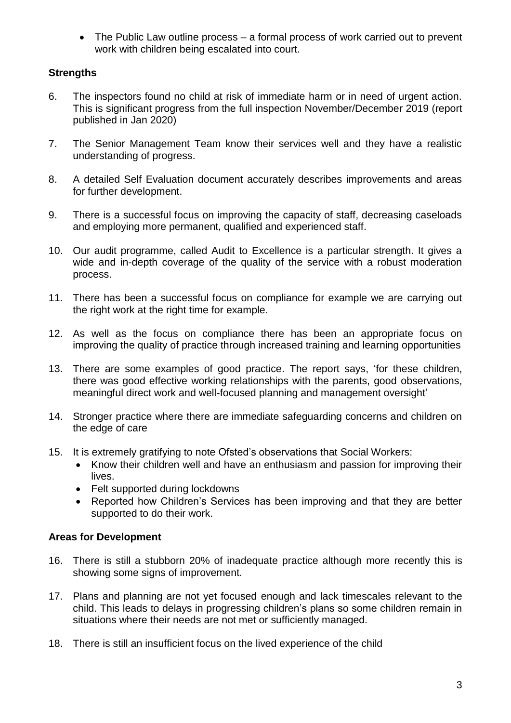The Public Law outline process – a formal process of work carried out to prevent work with children being escalated into court.

# **Strengths**

- 6. The inspectors found no child at risk of immediate harm or in need of urgent action. This is significant progress from the full inspection November/December 2019 (report published in Jan 2020)
- 7. The Senior Management Team know their services well and they have a realistic understanding of progress.
- 8. A detailed Self Evaluation document accurately describes improvements and areas for further development.
- 9. There is a successful focus on improving the capacity of staff, decreasing caseloads and employing more permanent, qualified and experienced staff.
- 10. Our audit programme, called Audit to Excellence is a particular strength. It gives a wide and in-depth coverage of the quality of the service with a robust moderation process.
- 11. There has been a successful focus on compliance for example we are carrying out the right work at the right time for example.
- 12. As well as the focus on compliance there has been an appropriate focus on improving the quality of practice through increased training and learning opportunities
- 13. There are some examples of good practice. The report says, 'for these children, there was good effective working relationships with the parents, good observations, meaningful direct work and well-focused planning and management oversight'
- 14. Stronger practice where there are immediate safeguarding concerns and children on the edge of care
- 15. It is extremely gratifying to note Ofsted's observations that Social Workers:
	- Know their children well and have an enthusiasm and passion for improving their lives.
	- Felt supported during lockdowns
	- Reported how Children's Services has been improving and that they are better supported to do their work.

# **Areas for Development**

- 16. There is still a stubborn 20% of inadequate practice although more recently this is showing some signs of improvement.
- 17. Plans and planning are not yet focused enough and lack timescales relevant to the child. This leads to delays in progressing children's plans so some children remain in situations where their needs are not met or sufficiently managed.
- 18. There is still an insufficient focus on the lived experience of the child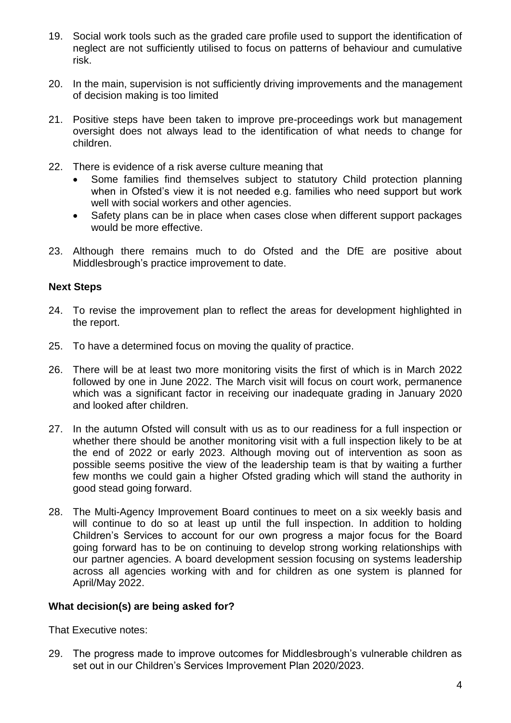- 19. Social work tools such as the graded care profile used to support the identification of neglect are not sufficiently utilised to focus on patterns of behaviour and cumulative risk.
- 20. In the main, supervision is not sufficiently driving improvements and the management of decision making is too limited
- 21. Positive steps have been taken to improve pre-proceedings work but management oversight does not always lead to the identification of what needs to change for children.
- 22. There is evidence of a risk averse culture meaning that
	- Some families find themselves subject to statutory Child protection planning when in Ofsted's view it is not needed e.g. families who need support but work well with social workers and other agencies.
	- Safety plans can be in place when cases close when different support packages would be more effective.
- 23. Although there remains much to do Ofsted and the DfE are positive about Middlesbrough's practice improvement to date.

## **Next Steps**

- 24. To revise the improvement plan to reflect the areas for development highlighted in the report.
- 25. To have a determined focus on moving the quality of practice.
- 26. There will be at least two more monitoring visits the first of which is in March 2022 followed by one in June 2022. The March visit will focus on court work, permanence which was a significant factor in receiving our inadequate grading in January 2020 and looked after children.
- 27. In the autumn Ofsted will consult with us as to our readiness for a full inspection or whether there should be another monitoring visit with a full inspection likely to be at the end of 2022 or early 2023. Although moving out of intervention as soon as possible seems positive the view of the leadership team is that by waiting a further few months we could gain a higher Ofsted grading which will stand the authority in good stead going forward.
- 28. The Multi-Agency Improvement Board continues to meet on a six weekly basis and will continue to do so at least up until the full inspection. In addition to holding Children's Services to account for our own progress a major focus for the Board going forward has to be on continuing to develop strong working relationships with our partner agencies. A board development session focusing on systems leadership across all agencies working with and for children as one system is planned for April/May 2022.

## **What decision(s) are being asked for?**

That Executive notes:

29. The progress made to improve outcomes for Middlesbrough's vulnerable children as set out in our Children's Services Improvement Plan 2020/2023.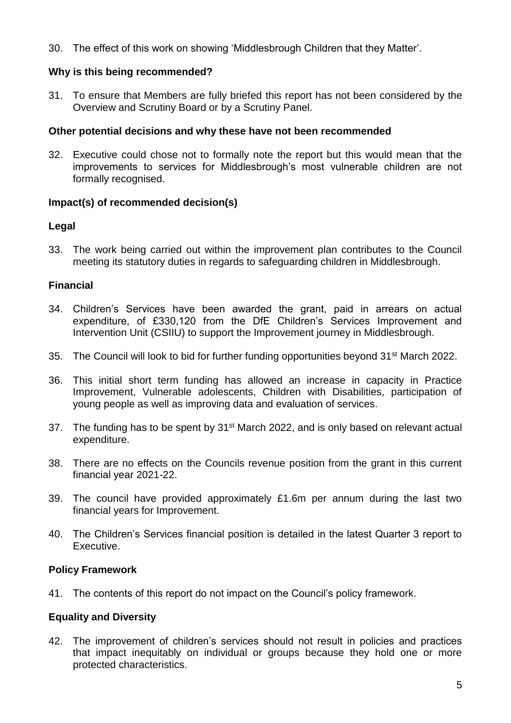30. The effect of this work on showing 'Middlesbrough Children that they Matter'.

## **Why is this being recommended?**

31. To ensure that Members are fully briefed this report has not been considered by the Overview and Scrutiny Board or by a Scrutiny Panel.

## **Other potential decisions and why these have not been recommended**

32. Executive could chose not to formally note the report but this would mean that the improvements to services for Middlesbrough's most vulnerable children are not formally recognised.

## **Impact(s) of recommended decision(s)**

## **Legal**

33. The work being carried out within the improvement plan contributes to the Council meeting its statutory duties in regards to safeguarding children in Middlesbrough.

## **Financial**

- 34. Children's Services have been awarded the grant, paid in arrears on actual expenditure, of £330,120 from the DfE Children's Services Improvement and Intervention Unit (CSIIU) to support the Improvement journey in Middlesbrough.
- 35. The Council will look to bid for further funding opportunities beyond 31st March 2022.
- 36. This initial short term funding has allowed an increase in capacity in Practice Improvement, Vulnerable adolescents, Children with Disabilities, participation of young people as well as improving data and evaluation of services.
- 37. The funding has to be spent by 31<sup>st</sup> March 2022, and is only based on relevant actual expenditure.
- 38. There are no effects on the Councils revenue position from the grant in this current financial year 2021-22.
- 39. The council have provided approximately £1.6m per annum during the last two financial years for Improvement.
- 40. The Children's Services financial position is detailed in the latest Quarter 3 report to Executive.

## **Policy Framework**

41. The contents of this report do not impact on the Council's policy framework.

## **Equality and Diversity**

42. The improvement of children's services should not result in policies and practices that impact inequitably on individual or groups because they hold one or more protected characteristics.